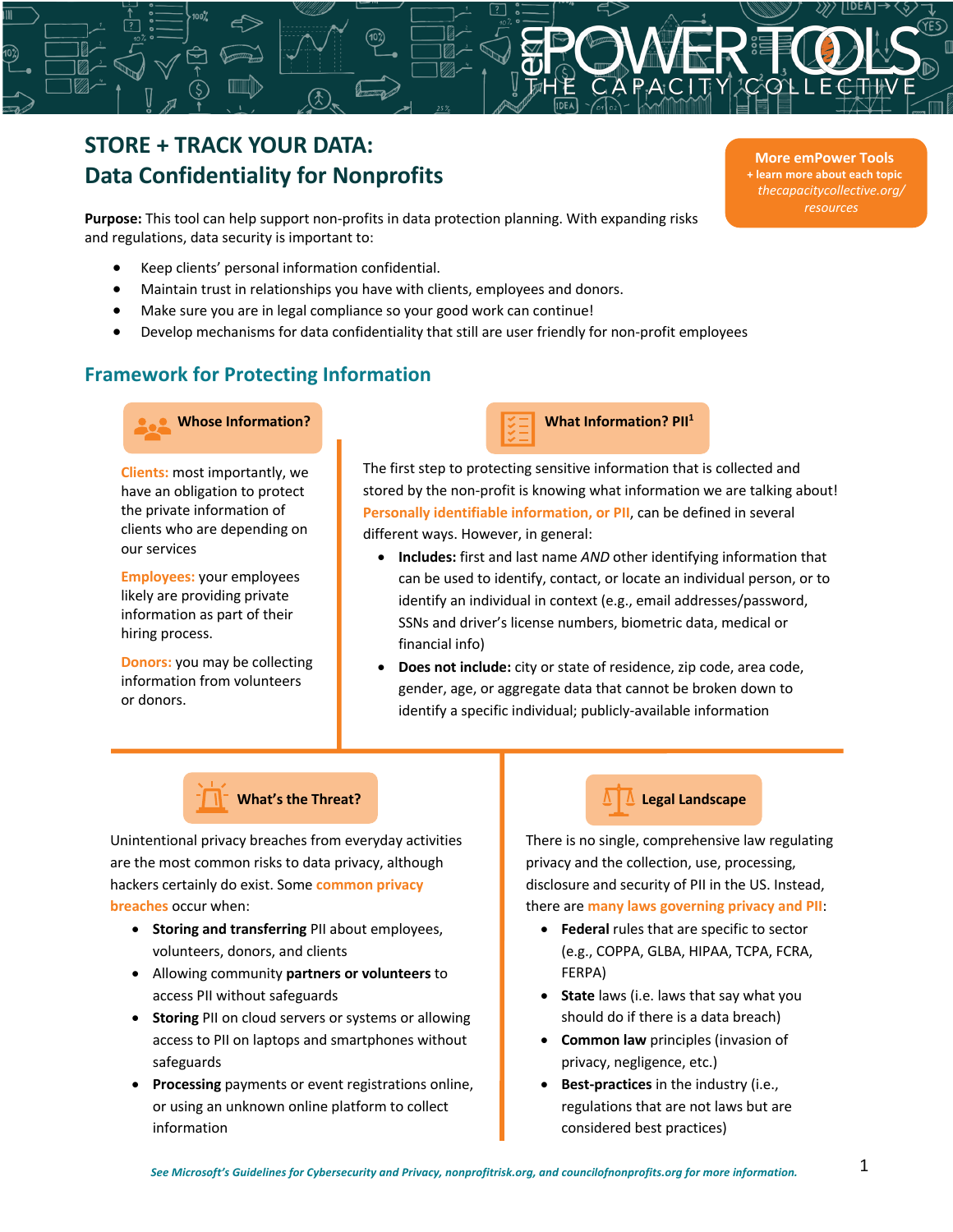# **STORE + TRACK YOUR DATA: Data Confidentiality for Nonprofits**

**Purpose:** This tool can help support non-profits in data protection planning. With expanding risks and regulations, data security is important to:

- Keep clients' personal information confidential.
- Maintain trust in relationships you have with clients, employees and donors.
- Make sure you are in legal compliance so your good work can continue!
- Develop mechanisms for data confidentiality that still are user friendly for non-profit employees

## **Framework for Protecting Information**



**Clients:** most importantly, we have an obligation to protect the private information of clients who are depending on our services

**Employees:** your employees likely are providing private information as part of their hiring process.

**Donors:** you may be collecting information from volunteers or donors.



The first step to protecting sensitive information that is collected and stored by the non-profit is knowing what information we are talking about! **Personally identifiable information, or PII**, can be defined in several different ways. However, in general:

- **Includes:** first and last name *AND* other identifying information that can be used to identify, contact, or locate an individual person, or to identify an individual in context (e.g., email addresses/password, SSNs and driver's license numbers, biometric data, medical or financial info)
- **Does not include:** city or state of residence, zip code, area code, gender, age, or aggregate data that cannot be broken down to identify a specific individual; publicly-available information



Unintentional privacy breaches from everyday activities are the most common risks to data privacy, although hackers certainly do exist. Some **common privacy breaches** occur when:

- **Storing and transferring** PII about employees, volunteers, donors, and clients
- Allowing community **partners or volunteers** to access PII without safeguards
- **Storing** PII on cloud servers or systems or allowing access to PII on laptops and smartphones without safeguards
- **Processing** payments or event registrations online, or using an unknown online platform to collect information

## **Legal Landscape**

There is no single, comprehensive law regulating privacy and the collection, use, processing, disclosure and security of PII in the US. Instead, there are **many laws governing privacy and PII**:

- **Federal** rules that are specific to sector (e.g., COPPA, GLBA, HIPAA, TCPA, FCRA, FERPA)
- **State** laws (i.e. laws that say what you should do if there is a data breach)
- **Common law** principles (invasion of privacy, negligence, etc.)
- **Best-practices** in the industry (i.e., regulations that are not laws but are considered best practices)

**More emPower Tools + learn more about each topic** *thecapacitycollective.org/ resources*